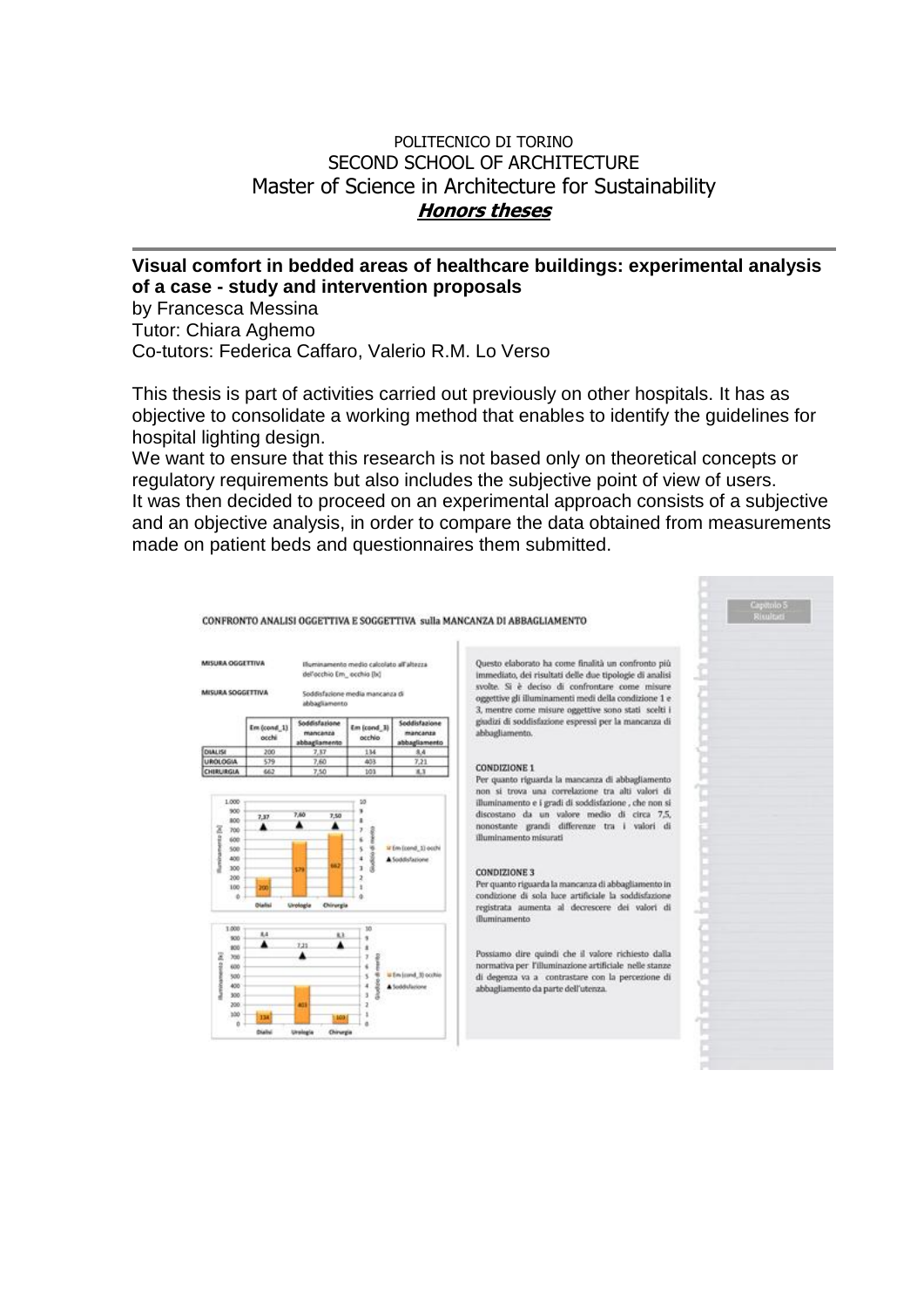## POLITECNICO DI TORINO SECOND SCHOOL OF ARCHITECTURE Master of Science in Architecture for Sustainability **Honors theses**

## **Visual comfort in bedded areas of healthcare buildings: experimental analysis of a case - study and intervention proposals**

by Francesca Messina Tutor: Chiara Aghemo Co-tutors: Federica Caffaro, Valerio R.M. Lo Verso

This thesis is part of activities carried out previously on other hospitals. It has as objective to consolidate a working method that enables to identify the guidelines for hospital lighting design.

We want to ensure that this research is not based only on theoretical concepts or regulatory requirements but also includes the subjective point of view of users. It was then decided to proceed on an experimental approach consists of a subjective and an objective analysis, in order to compare the data obtained from measurements made on patient beds and questionnaires them submitted.



CONFRONTO ANALISI OGGETTIVA E SOGGETTIVA sulla MANCANZA DI ABBAGLIAMENTO

Questo elaborato ha come finalità un confronto più immediato, dei risultati delle due tipologie di analisi syste. Si è deciso di confrontare come misure. oggettive gli illuminamenti medi della condizione 1 e 3, mentre come misure oggettive sono stati scelti i giudizi di soddisfazione espressi per la mancanza di

Per quanto riguarda la mancanza di abbaglian non si trova una correlazione tra alti valori di illuminamento e i gradi di soddisfazione, che non si discostano da un valore medio di circa 7,5,<br>nonostante grandi differenze tra i valori di illuminamento misurati

Per quanto riguarda la mancanza di abbagliar condizione di sola luce artificiale la soddisfazione registrata aumenta al decrescere dei valori di

Possiamo dire quindi che il valore richiesto dalla normativa per l'illuminazione artificiale nelle stanze di degenza va a contrastare con la percezione di abbagliamento da parte dell'utenza.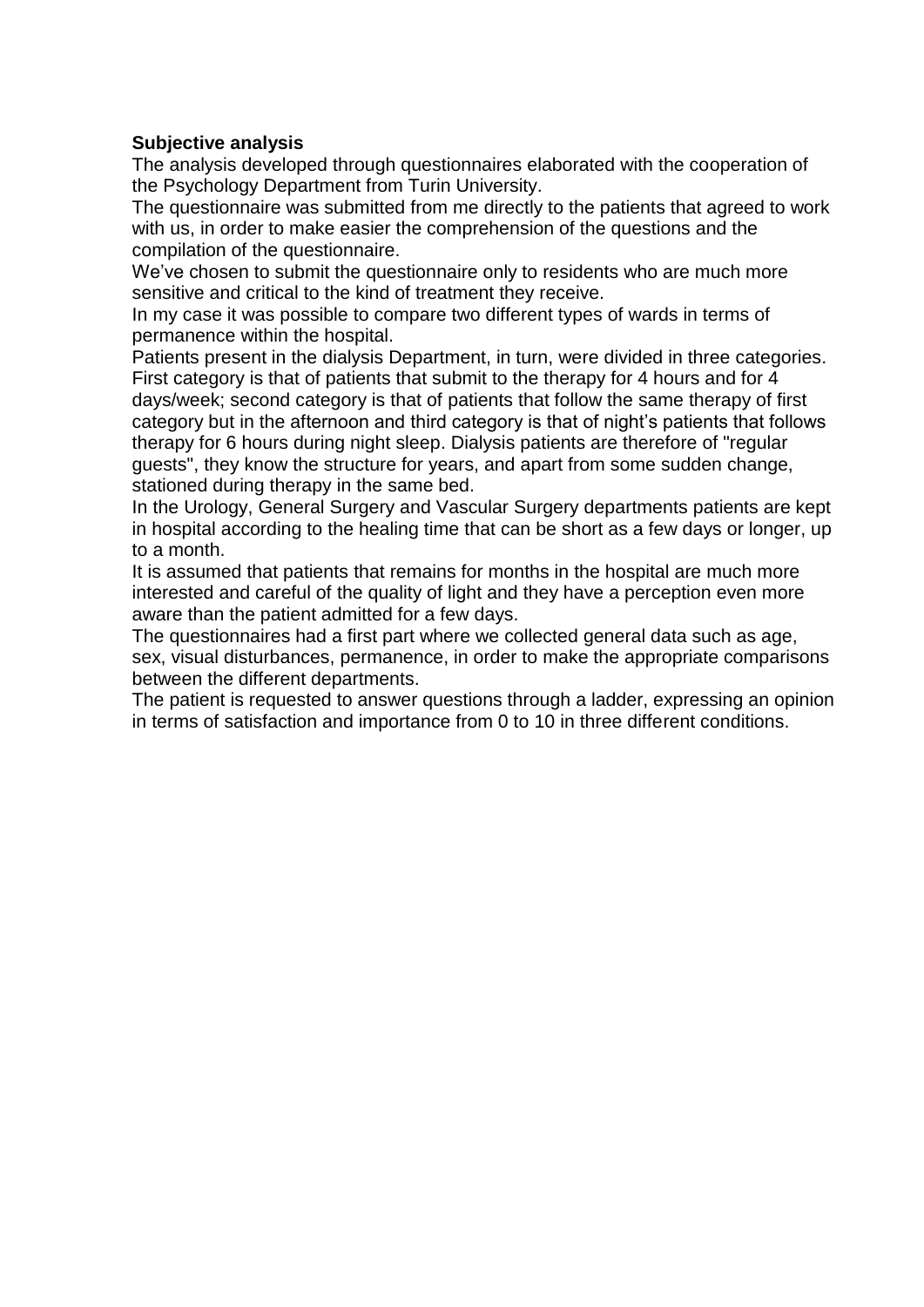## **Subjective analysis**

The analysis developed through questionnaires elaborated with the cooperation of the Psychology Department from Turin University.

The questionnaire was submitted from me directly to the patients that agreed to work with us, in order to make easier the comprehension of the questions and the compilation of the questionnaire.

We've chosen to submit the questionnaire only to residents who are much more sensitive and critical to the kind of treatment they receive.

In my case it was possible to compare two different types of wards in terms of permanence within the hospital.

Patients present in the dialysis Department, in turn, were divided in three categories. First category is that of patients that submit to the therapy for 4 hours and for 4 days/week; second category is that of patients that follow the same therapy of first category but in the afternoon and third category is that of night's patients that follows therapy for 6 hours during night sleep. Dialysis patients are therefore of "regular guests", they know the structure for years, and apart from some sudden change, stationed during therapy in the same bed.

In the Urology, General Surgery and Vascular Surgery departments patients are kept in hospital according to the healing time that can be short as a few days or longer, up to a month.

It is assumed that patients that remains for months in the hospital are much more interested and careful of the quality of light and they have a perception even more aware than the patient admitted for a few days.

The questionnaires had a first part where we collected general data such as age, sex, visual disturbances, permanence, in order to make the appropriate comparisons between the different departments.

The patient is requested to answer questions through a ladder, expressing an opinion in terms of satisfaction and importance from 0 to 10 in three different conditions.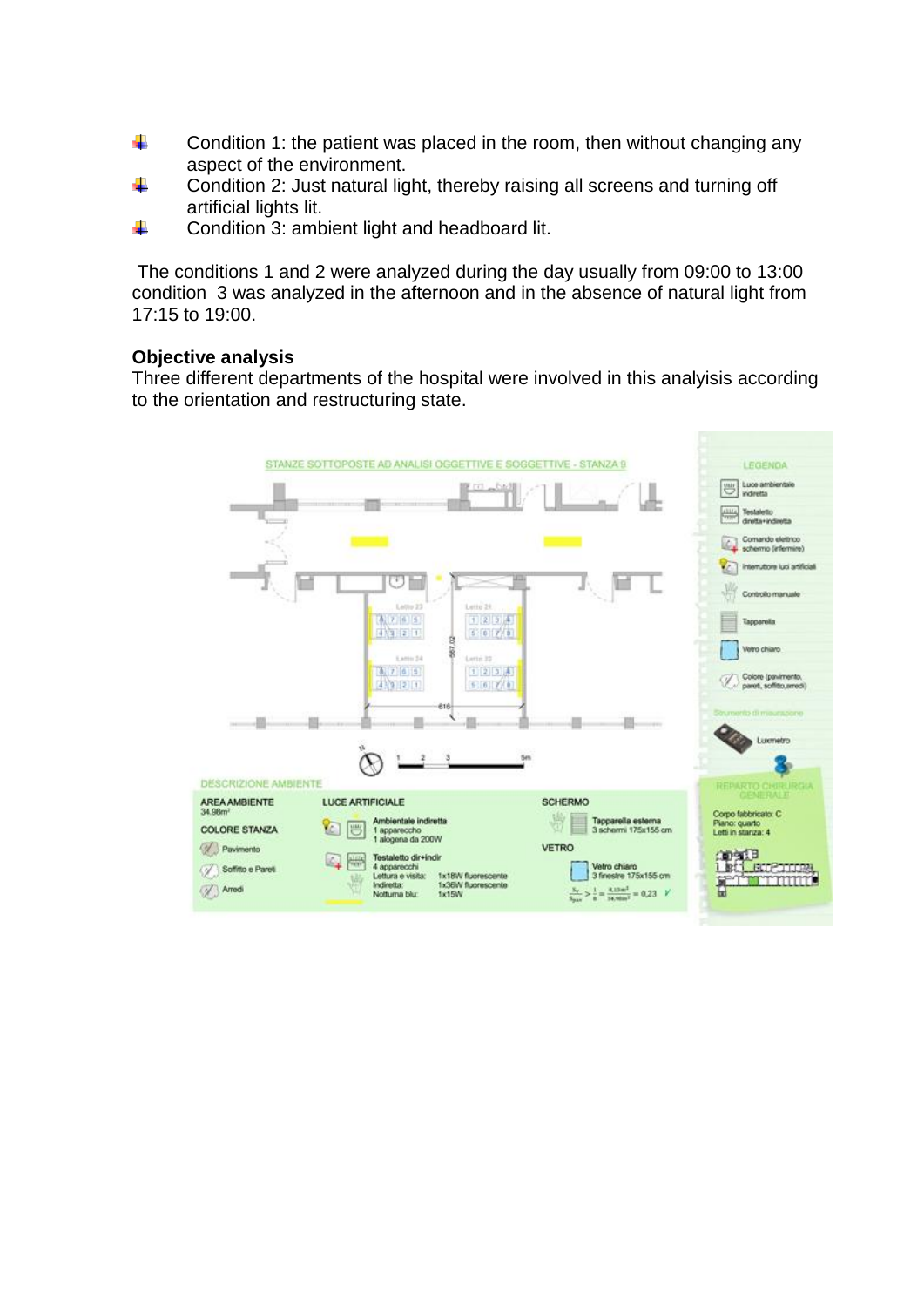- ÷ Condition 1: the patient was placed in the room, then without changing any aspect of the environment.
- ÷. Condition 2: Just natural light, thereby raising all screens and turning off artificial lights lit.
- 4 Condition 3: ambient light and headboard lit.

The conditions 1 and 2 were analyzed during the day usually from 09:00 to 13:00 condition 3 was analyzed in the afternoon and in the absence of natural light from 17:15 to 19:00.

## **Objective analysis**

Three different departments of the hospital were involved in this analyisis according to the orientation and restructuring state.